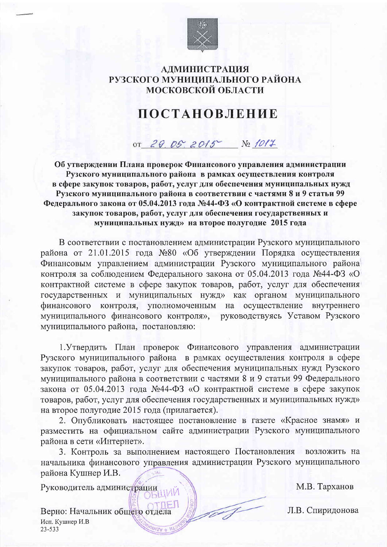

## **АДМИНИСТРАЦИЯ** РУЗСКОГО МУНИЦИПАЛЬНОГО РАЙОНА МОСКОВСКОЙ ОБЛАСТИ

## **ПОСТАНОВЛЕНИЕ**

or 29.05.2015 No 1017

Об утверждении Плана проверок Финансового управления администрации Рузского муниципального района в рамках осуществления контроля в сфере закупок товаров, работ, услуг для обеспечения муниципальных нужд Рузского муниципального района в соответствии с частями 8 и 9 статьи 99 Федерального закона от 05.04.2013 года №44-ФЗ «О контрактной системе в сфере закупок товаров, работ, услуг для обеспечения государственных и муниципальных нужд» на второе полугодие 2015 года

В соответствии с постановлением администрации Рузского муниципального района от 21.01.2015 года №80 «Об утверждении Порядка осуществления Финансовым управлением администрации Рузского муниципального района контроля за соблюдением Федерального закона от 05.04.2013 года №44-ФЗ «О контрактной системе в сфере закупок товаров, работ, услуг для обеспечения государственных и муниципальных нужд» как органом муниципального финансового контроля, уполномоченным на осуществление внутреннего муниципального финансового контроля», руководствуясь Уставом Рузского муниципального района, постановляю:

1. Утвердить План проверок Финансового управления администрации Рузского муниципального района в рамках осуществления контроля в сфере закупок товаров, работ, услуг для обеспечения муниципальных нужд Рузского муниципального района в соответствии с частями 8 и 9 статьи 99 Федерального закона от 05.04.2013 года №44-ФЗ «О контрактной системе в сфере закупок товаров, работ, услуг для обеспечения государственных и муниципальных нужд» на второе полугодие 2015 года (прилагается).

2. Опубликовать настоящее постановление в газете «Красное знамя» и разместить на официальном сайте администрации Рузского муниципального района в сети «Интернет».

3. Контроль за выполнением настоящего Постановления возложить на начальника финансового управления администрации Рузского муниципального района Кушнер И.В.

Руководитель администрации

М.В. Тарханов

Л.В. Спиридонова

Верно: Начальник общего отдела Исп. Кушнер И.В 23-533